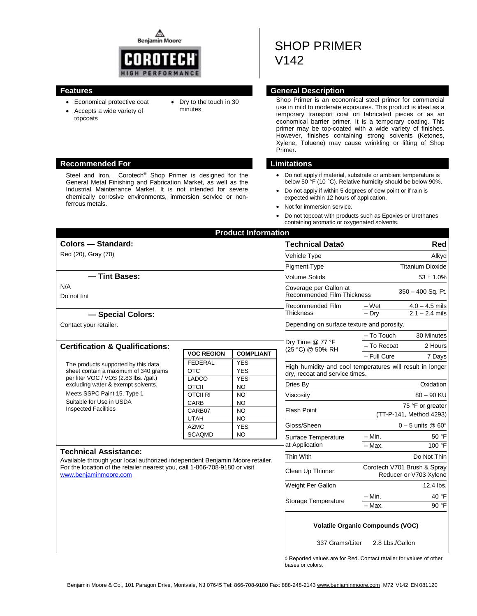⚠ **Benjamin Moore** 



topcoats

- Economical protective coat
- Dry to the touch in 30 minutes
- Accepts a wide variety of
- 

## **Recommended For Limitations**

Steel and Iron. Corotech<sup>®</sup> Shop Primer is designed for the General Metal Finishing and Fabrication Market, as well as the Industrial Maintenance Market. It is not intended for severe chemically corrosive environments, immersion service or nonferrous metals.

# SHOP PRIMER V142

#### **Features General Description**

Shop Primer is an economical steel primer for commercial use in mild to moderate exposures. This product is ideal as a temporary transport coat on fabricated pieces or as an economical barrier primer. It is a temporary coating. This primer may be top-coated with a wide variety of finishes. However, finishes containing strong solvents (Ketones, Xylene, Toluene) may cause wrinkling or lifting of Shop Primer.

- Do not apply if material, substrate or ambient temperature is below 50 °F (10 °C). Relative humidity should be below 90%.
- Do not apply if within 5 degrees of dew point or if rain is expected within 12 hours of application.
- Not for immersion service.
- Do not topcoat with products such as Epoxies or Urethanes containing aromatic or oxygenated solvents.

| <b>Product Information</b>                                                                                                                                                                                                                           |                               |                                     |                                                                   |                                                                                             |  |
|------------------------------------------------------------------------------------------------------------------------------------------------------------------------------------------------------------------------------------------------------|-------------------------------|-------------------------------------|-------------------------------------------------------------------|---------------------------------------------------------------------------------------------|--|
| <b>Colors - Standard:</b>                                                                                                                                                                                                                            |                               |                                     | Technical Data◊                                                   | Red                                                                                         |  |
| Red (20), Gray (70)                                                                                                                                                                                                                                  |                               |                                     | <b>Vehicle Type</b>                                               | Alkyd                                                                                       |  |
|                                                                                                                                                                                                                                                      |                               |                                     | <b>Pigment Type</b>                                               | <b>Titanium Dioxide</b>                                                                     |  |
| - Tint Bases:                                                                                                                                                                                                                                        |                               |                                     | <b>Volume Solids</b>                                              | $53 \pm 1.0\%$                                                                              |  |
| N/A<br>Do not tint                                                                                                                                                                                                                                   |                               |                                     | Coverage per Gallon at<br><b>Recommended Film Thickness</b>       | 350 - 400 Sq. Ft.                                                                           |  |
| - Special Colors:                                                                                                                                                                                                                                    |                               |                                     | Recommended Film<br><b>Thickness</b>                              | $4.0 - 4.5$ mils<br>– Wet<br>$2.1 - 2.4$ mils<br>$-Dry$                                     |  |
| Contact your retailer.                                                                                                                                                                                                                               |                               |                                     | Depending on surface texture and porosity.                        |                                                                                             |  |
|                                                                                                                                                                                                                                                      |                               |                                     |                                                                   | - To Touch<br>30 Minutes                                                                    |  |
| <b>Certification &amp; Qualifications:</b>                                                                                                                                                                                                           |                               |                                     | Dry Time @ 77 °F<br>(25 °C) @ 50% RH                              | - To Recoat<br>2 Hours                                                                      |  |
|                                                                                                                                                                                                                                                      | <b>VOC REGION</b>             | <b>COMPLIANT</b>                    |                                                                   | - Full Cure<br>7 Days                                                                       |  |
| The products supported by this data<br>sheet contain a maximum of 340 grams<br>per liter VOC / VOS (2.83 lbs. /gal.)<br>excluding water & exempt solvents.<br>Meets SSPC Paint 15, Type 1<br>Suitable for Use in USDA<br><b>Inspected Facilities</b> | <b>FEDERAL</b><br><b>OTC</b>  | <b>YES</b><br><b>YES</b>            |                                                                   | High humidity and cool temperatures will result in longer<br>dry, recoat and service times. |  |
|                                                                                                                                                                                                                                                      | LADCO<br><b>OTCII</b>         | <b>YES</b><br><b>NO</b>             | Dries By                                                          | Oxidation                                                                                   |  |
|                                                                                                                                                                                                                                                      | <b>OTCIL RI</b>               | <b>NO</b>                           | $80 - 90$ KU<br>Viscosity                                         |                                                                                             |  |
|                                                                                                                                                                                                                                                      | CARB<br>CARB07<br><b>UTAH</b> | <b>NO</b><br><b>NO</b><br><b>NO</b> | 75 °F or greater<br><b>Flash Point</b><br>(TT-P-141, Method 4293) |                                                                                             |  |
|                                                                                                                                                                                                                                                      | <b>AZMC</b>                   | <b>YES</b>                          | Gloss/Sheen                                                       | $0 - 5$ units @ 60 $^{\circ}$                                                               |  |
|                                                                                                                                                                                                                                                      | <b>SCAQMD</b>                 | <b>NO</b>                           | Surface Temperature<br>at Application                             | $- Min.$<br>50 °F<br>100 °F<br>- Max.                                                       |  |
| <b>Technical Assistance:</b>                                                                                                                                                                                                                         |                               |                                     |                                                                   |                                                                                             |  |
| Available through your local authorized independent Benjamin Moore retailer.                                                                                                                                                                         |                               |                                     | Thin With                                                         | Do Not Thin                                                                                 |  |
| For the location of the retailer nearest you, call 1-866-708-9180 or visit<br>www.benjaminmoore.com                                                                                                                                                  |                               |                                     | Clean Up Thinner                                                  | Corotech V701 Brush & Spray<br>Reducer or V703 Xylene                                       |  |
|                                                                                                                                                                                                                                                      |                               |                                     | Weight Per Gallon                                                 | 12.4 lbs.                                                                                   |  |
|                                                                                                                                                                                                                                                      |                               |                                     | Storage Temperature                                               | 40 °F<br>$-$ Min.<br>90 °F<br>- Max.                                                        |  |
|                                                                                                                                                                                                                                                      |                               |                                     | 337 Grams/Liter                                                   | <b>Volatile Organic Compounds (VOC)</b><br>2.8 Lbs./Gallon                                  |  |

 ◊ Reported values are for Red. Contact retailer for values of other bases or colors.